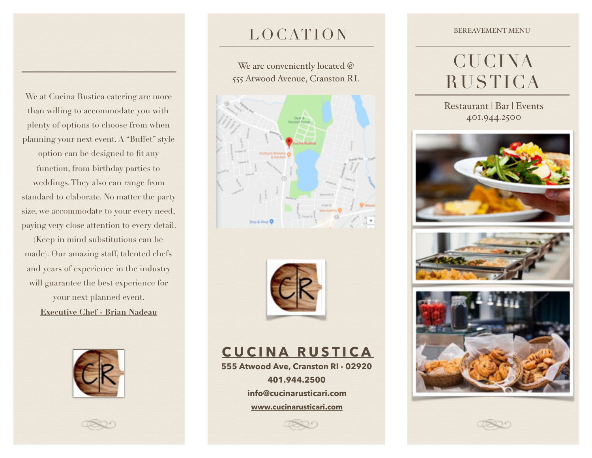We at Cucina Rustica catering are more than willing to accommodate you with plenty of options to choose from when planning your next event. A "Buffet" style

option can be designed to fit any function, from birthday parties to weddings. They also can range from standard to elaborate. No matter the party size, we accommodate to your every need, paying very close attention to every detail.

(Keep in mind substitutions can be made). Our amazing staff, talented chefs and years of experience in the industry will guarantee the best experience for your next planned event. **Executive Chef - Brian Nadeau**





## LOCATION

We are conveniently located @ 555 Atwood Avenue, Cranston RI.





**CUCINA RUSTICA**

**555 Atwood Ave, Cranston RI - 02920 401.944.2500 info@cucinarusticari.com [www.cucinarusticari.com](http://www.cucinarusticari.com)**

#### BEREAVEMENT MENU

# **CUCINA** RUSTICA

Restaurant | Bar | Events 401.944.2500